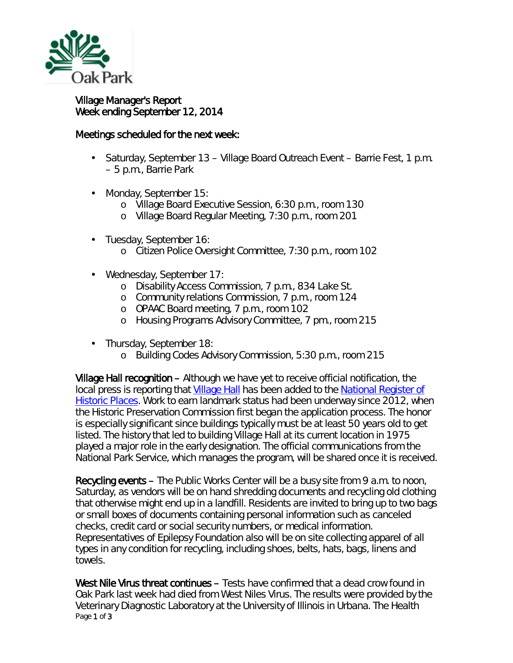

## Village Manager's Report Week ending September 12, 2014

## Meetings scheduled for the next week:

- Saturday, September 13 Village Board Outreach Event Barrie Fest, 1 p.m. – 5 p.m., Barrie Park
- Monday, September 15: L.
	- o Village Board Executive Session, 6:30 p.m., room 130
	- o Village Board Regular Meeting, 7:30 p.m., room 201
- Tuesday, September 16:  $\mathbf{r}^{\prime}$ 
	- o Citizen Police Oversight Committee, 7:30 p.m., room 102
- Wednesday, September 17: ä.
	- o Disability Access Commission, 7 p.m., 834 Lake St.
	- o Community relations Commission, 7 p.m., room 124
	- o OPAAC Board meeting, 7 p.m., room 102
	- o Housing Programs Advisory Committee, 7 pm., room 215
- Thursday, September 18:
	- o Building Codes Advisory Commission, 5:30 p.m., room 215

Village Hall recognition – Although we have yet to receive official notification, the local press is reporting that [Village Hall](http://www.oak-park.us/your-government/village-manager/village-hall) has been added to the [National Register of](http://www.nps.gov/nr/)  [Historic Places.](http://www.nps.gov/nr/) Work to earn landmark status had been underway since 2012, when the Historic Preservation Commission first began the application process. The honor is especially significant since buildings typically must be at least 50 years old to get listed. The history that led to building Village Hall at its current location in 1975 played a major role in the early designation. The official communications from the National Park Service, which manages the program, will be shared once it is received.

Recycling events – The Public Works Center will be a busy site from 9 a.m. to noon, Saturday, as vendors will be on hand shredding documents and recycling old clothing that otherwise might end up in a landfill. Residents are invited to bring up to two bags or small boxes of documents containing personal information such as canceled checks, credit card or social security numbers, or medical information. Representatives of Epilepsy Foundation also will be on site collecting apparel of all types in any condition for recycling, including shoes, belts, hats, bags, linens and towels.

Page 1 of 3 West Nile Virus threat continues – Tests have confirmed that a dead crow found in Oak Park last week had died from West Niles Virus. The results were provided by the Veterinary Diagnostic Laboratory at the University of Illinois in Urbana. The Health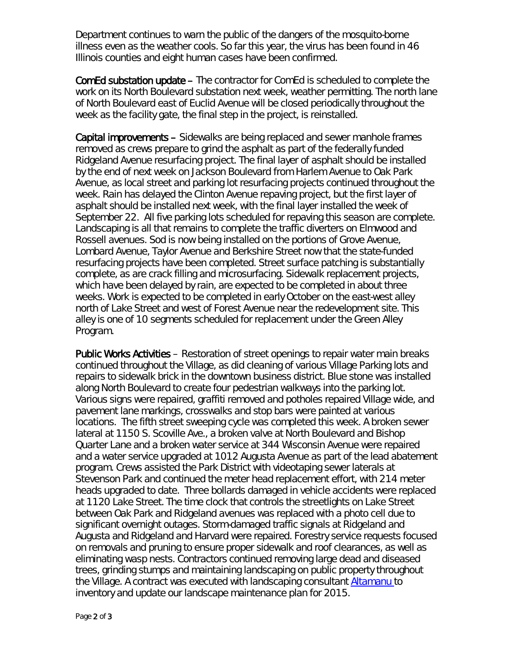Department continues to warn the public of the dangers of the mosquito-borne illness even as the weather cools. So far this year, the virus has been found in 46 Illinois counties and eight human cases have been confirmed.

ComEd substation update – The contractor for ComEd is scheduled to complete the work on its North Boulevard substation next week, weather permitting. The north lane of North Boulevard east of Euclid Avenue will be closed periodically throughout the week as the facility gate, the final step in the project, is reinstalled.

Capital improvements – Sidewalks are being replaced and sewer manhole frames removed as crews prepare to grind the asphalt as part of the federally funded Ridgeland Avenue resurfacing project. The final layer of asphalt should be installed by the end of next week on Jackson Boulevard from Harlem Avenue to Oak Park Avenue, as local street and parking lot resurfacing projects continued throughout the week. Rain has delayed the Clinton Avenue repaving project, but the first layer of asphalt should be installed next week, with the final layer installed the week of September 22. All five parking lots scheduled for repaving this season are complete. Landscaping is all that remains to complete the traffic diverters on Elmwood and Rossell avenues. Sod is now being installed on the portions of Grove Avenue, Lombard Avenue, Taylor Avenue and Berkshire Street now that the state-funded resurfacing projects have been completed. Street surface patching is substantially complete, as are crack filling and microsurfacing. Sidewalk replacement projects, which have been delayed by rain, are expected to be completed in about three weeks. Work is expected to be completed in early October on the east-west alley north of Lake Street and west of Forest Avenue near the redevelopment site. This alley is one of 10 segments scheduled for replacement under the Green Alley Program.

Public Works Activities – Restoration of street openings to repair water main breaks continued throughout the Village, as did cleaning of various Village Parking lots and repairs to sidewalk brick in the downtown business district. Blue stone was installed along North Boulevard to create four pedestrian walkways into the parking lot. Various signs were repaired, graffiti removed and potholes repaired Village wide, and pavement lane markings, crosswalks and stop bars were painted at various locations. The fifth street sweeping cycle was completed this week. A broken sewer lateral at 1150 S. Scoville Ave., a broken valve at North Boulevard and Bishop Quarter Lane and a broken water service at 344 Wisconsin Avenue were repaired and a water service upgraded at 1012 Augusta Avenue as part of the lead abatement program. Crews assisted the Park District with videotaping sewer laterals at Stevenson Park and continued the meter head replacement effort, with 214 meter heads upgraded to date. Three bollards damaged in vehicle accidents were replaced at 1120 Lake Street. The time clock that controls the streetlights on Lake Street between Oak Park and Ridgeland avenues was replaced with a photo cell due to significant overnight outages. Storm-damaged traffic signals at Ridgeland and Augusta and Ridgeland and Harvard were repaired. Forestry service requests focused on removals and pruning to ensure proper sidewalk and roof clearances, as well as eliminating wasp nests. Contractors continued removing large dead and diseased trees, grinding stumps and maintaining landscaping on public property throughout the Village. A contract was executed with landscaping consultant [Altamanu t](http://altamanu.com/)o inventory and update our landscape maintenance plan for 2015.